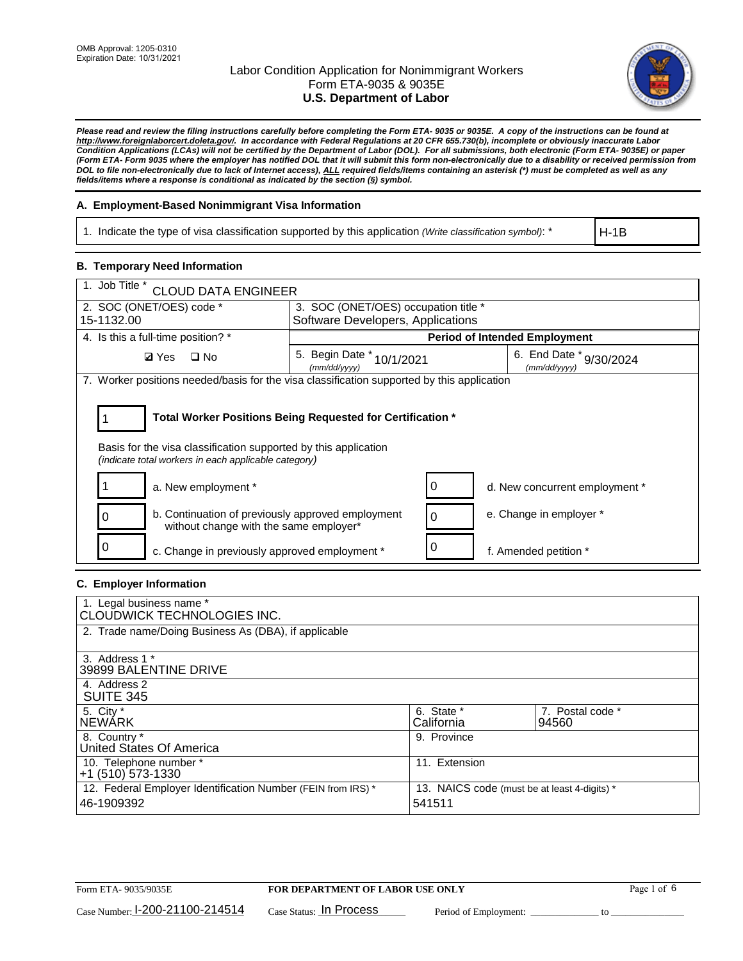

*Please read and review the filing instructions carefully before completing the Form ETA- 9035 or 9035E. A copy of the instructions can be found at [http://www.foreignlaborcert.doleta.gov/.](http://www.foreignlaborcert.doleta.gov/) In accordance with Federal Regulations at 20 CFR 655.730(b), incomplete or obviously inaccurate Labor Condition Applications (LCAs) will not be certified by the Department of Labor (DOL). For all submissions, both electronic (Form ETA- 9035E) or paper (Form ETA- Form 9035 where the employer has notified DOL that it will submit this form non-electronically due to a disability or received permission from DOL to file non-electronically due to lack of Internet access), ALL required fields/items containing an asterisk (\*) must be completed as well as any fields/items where a response is conditional as indicated by the section (§) symbol.* 

### **A. Employment-Based Nonimmigrant Visa Information**

1. Indicate the type of visa classification supported by this application *(Write classification symbol)*: \*

H-1B

### **B. Temporary Need Information**

| 1. Job Title *<br><b>CLOUD DATA ENGINEER</b>                                                                            |                                                            |                                         |
|-------------------------------------------------------------------------------------------------------------------------|------------------------------------------------------------|-----------------------------------------|
| 2. SOC (ONET/OES) code *                                                                                                | 3. SOC (ONET/OES) occupation title *                       |                                         |
| 15-1132.00                                                                                                              | Software Developers, Applications                          |                                         |
| 4. Is this a full-time position? *                                                                                      |                                                            | <b>Period of Intended Employment</b>    |
| <b>Ø</b> Yes<br>$\square$ No                                                                                            | 5. Begin Date * 10/1/2021<br>(mm/dd/yyyy)                  | 6. End Date * 9/30/2024<br>(mm/dd/vvvv) |
| 7. Worker positions needed/basis for the visa classification supported by this application                              |                                                            |                                         |
| Basis for the visa classification supported by this application<br>(indicate total workers in each applicable category) | Total Worker Positions Being Requested for Certification * |                                         |
| a. New employment *                                                                                                     | 0                                                          | d. New concurrent employment *          |
| b. Continuation of previously approved employment<br>0<br>without change with the same employer*                        | $\Omega$                                                   | e. Change in employer *                 |
| c. Change in previously approved employment *                                                                           | 0                                                          | f. Amended petition *                   |

### **C. Employer Information**

| 1. Legal business name *<br>CLOUDWICK TECHNOLOGIES INC.                    |                                                        |                           |
|----------------------------------------------------------------------------|--------------------------------------------------------|---------------------------|
| 2. Trade name/Doing Business As (DBA), if applicable                       |                                                        |                           |
| 3. Address 1 *<br>39899 BALENTINE DRIVE                                    |                                                        |                           |
| 4. Address 2<br><b>SUITE 345</b>                                           |                                                        |                           |
| 5. City *<br><b>NEWARK</b>                                                 | 6. State *<br>California                               | 7. Postal code *<br>94560 |
| 8. Country *<br>United States Of America                                   | 9. Province                                            |                           |
| 10. Telephone number *<br>$+1$ (510) 573-1330                              | 11. Extension                                          |                           |
| 12. Federal Employer Identification Number (FEIN from IRS) *<br>46-1909392 | 13. NAICS code (must be at least 4-digits) *<br>541511 |                           |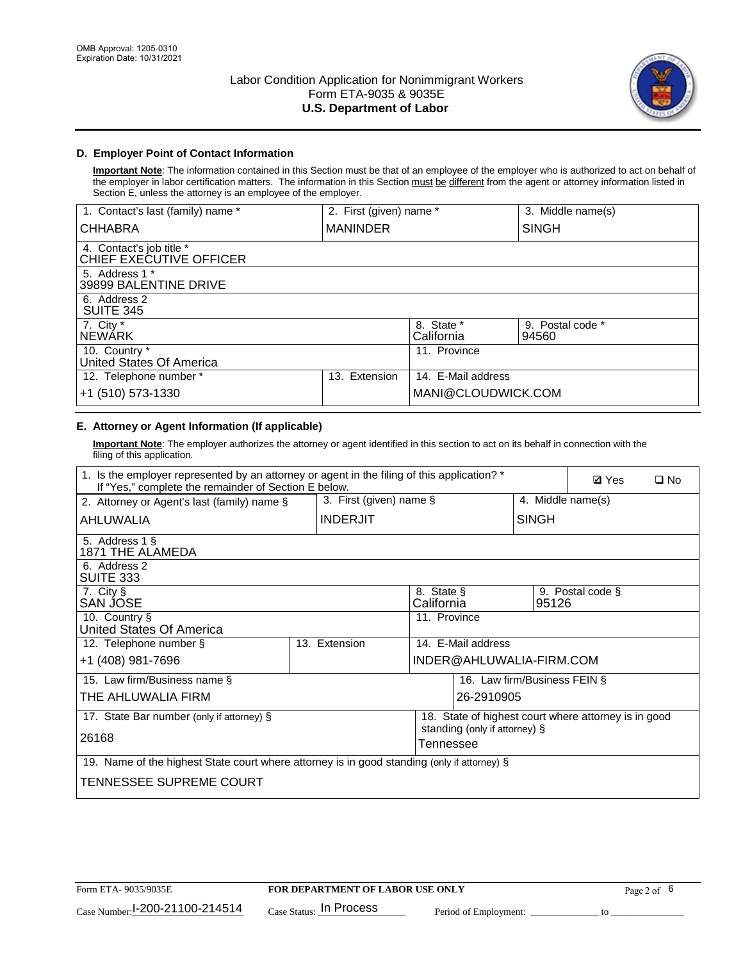

## **D. Employer Point of Contact Information**

**Important Note**: The information contained in this Section must be that of an employee of the employer who is authorized to act on behalf of the employer in labor certification matters. The information in this Section must be different from the agent or attorney information listed in Section E, unless the attorney is an employee of the employer.

| 1. Contact's last (family) name *                   | 2. First (given) name * |                          | 3. Middle name(s)         |
|-----------------------------------------------------|-------------------------|--------------------------|---------------------------|
| <b>CHHABRA</b>                                      | <b>MANINDER</b>         |                          | <b>SINGH</b>              |
| 4. Contact's job title *<br>CHIEF EXECUTIVE OFFICER |                         |                          |                           |
| 5. Address 1 *<br>39899 BALENTINE DRIVE             |                         |                          |                           |
| 6. Address 2<br><b>SUITE 345</b>                    |                         |                          |                           |
| 7. City *<br><b>NEWÁRK</b>                          |                         | 8. State *<br>California | 9. Postal code *<br>94560 |
| 10. Country *<br>United States Of America           |                         | 11. Province             |                           |
| 12. Telephone number *                              | Extension<br>13.        | 14. E-Mail address       |                           |
| +1 (510) 573-1330                                   |                         | MANI@CLOUDWICK.COM       |                           |

# **E. Attorney or Agent Information (If applicable)**

**Important Note**: The employer authorizes the attorney or agent identified in this section to act on its behalf in connection with the filing of this application.

| 1. Is the employer represented by an attorney or agent in the filing of this application? *<br>If "Yes," complete the remainder of Section E below. |                            |                          |                               |                              | <b>Ø</b> Yes<br>$\square$ No                         |  |
|-----------------------------------------------------------------------------------------------------------------------------------------------------|----------------------------|--------------------------|-------------------------------|------------------------------|------------------------------------------------------|--|
| 2. Attorney or Agent's last (family) name §                                                                                                         | 3. First (given) name $\S$ |                          |                               | 4. Middle name(s)            |                                                      |  |
| AHLUWALIA                                                                                                                                           | <b>INDERJIT</b>            |                          |                               | <b>SINGH</b>                 |                                                      |  |
| 5. Address 1 §<br>1871 THE ALAMEDA                                                                                                                  |                            |                          |                               |                              |                                                      |  |
| 6. Address 2<br>SUITE 333                                                                                                                           |                            |                          |                               |                              |                                                      |  |
| 7. City §<br>SAN JOSE                                                                                                                               |                            | 8. State §<br>California |                               | 95126                        | 9. Postal code §                                     |  |
| 10. Country §<br>United States Of America                                                                                                           |                            | 11. Province             |                               |                              |                                                      |  |
| 12. Telephone number §                                                                                                                              | 13. Extension              |                          | 14. E-Mail address            |                              |                                                      |  |
| +1 (408) 981-7696                                                                                                                                   |                            |                          | INDER@AHLUWALIA-FIRM.COM      |                              |                                                      |  |
| 15. Law firm/Business name §                                                                                                                        |                            |                          |                               | 16. Law firm/Business FEIN § |                                                      |  |
| THE AHLUWALIA FIRM                                                                                                                                  |                            |                          | 26-2910905                    |                              |                                                      |  |
| 17. State Bar number (only if attorney) §                                                                                                           |                            |                          | standing (only if attorney) § |                              | 18. State of highest court where attorney is in good |  |
| 26168                                                                                                                                               |                            | Tennessee                |                               |                              |                                                      |  |
| 19. Name of the highest State court where attorney is in good standing (only if attorney) §                                                         |                            |                          |                               |                              |                                                      |  |
| TENNESSEE SUPREME COURT                                                                                                                             |                            |                          |                               |                              |                                                      |  |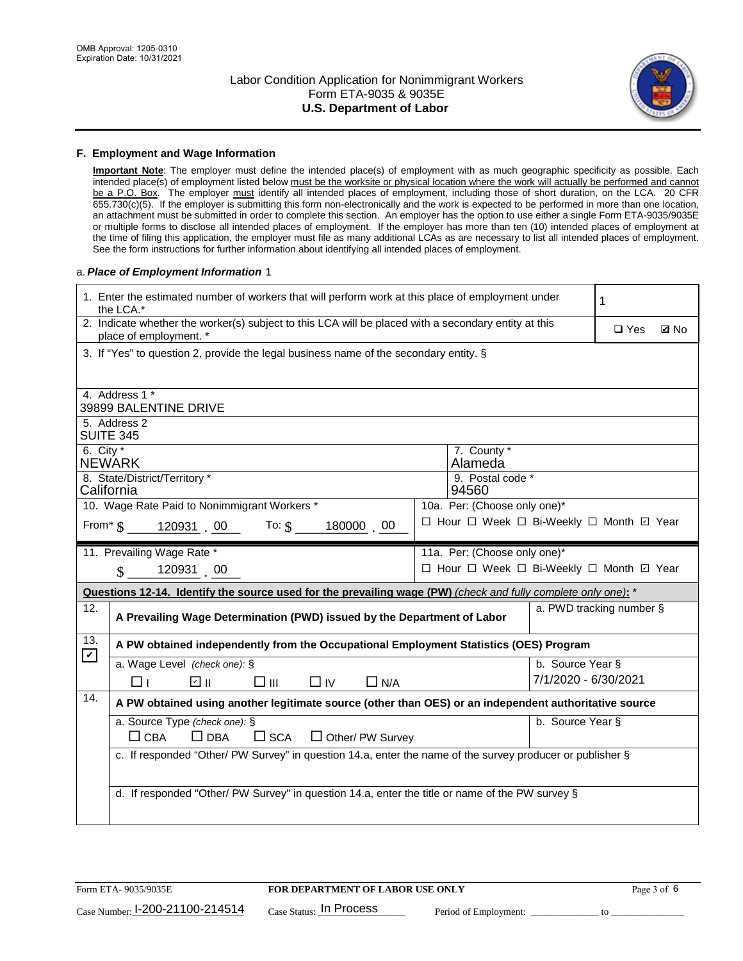

#### **F. Employment and Wage Information**

**Important Note**: The employer must define the intended place(s) of employment with as much geographic specificity as possible. Each intended place(s) of employment listed below must be the worksite or physical location where the work will actually be performed and cannot be a P.O. Box. The employer must identify all intended places of employment, including those of short duration, on the LCA. 20 CFR 655.730(c)(5). If the employer is submitting this form non-electronically and the work is expected to be performed in more than one location, an attachment must be submitted in order to complete this section. An employer has the option to use either a single Form ETA-9035/9035E or multiple forms to disclose all intended places of employment. If the employer has more than ten (10) intended places of employment at the time of filing this application, the employer must file as many additional LCAs as are necessary to list all intended places of employment. See the form instructions for further information about identifying all intended places of employment.

#### a.*Place of Employment Information* 1

|                                                                        | 1. Enter the estimated number of workers that will perform work at this place of employment under<br>1<br>the LCA.*            |  |                                          |                           |  |  |  |  |
|------------------------------------------------------------------------|--------------------------------------------------------------------------------------------------------------------------------|--|------------------------------------------|---------------------------|--|--|--|--|
|                                                                        | 2. Indicate whether the worker(s) subject to this LCA will be placed with a secondary entity at this<br>place of employment. * |  |                                          | $\Box$ Yes<br><b>Q</b> No |  |  |  |  |
|                                                                        | 3. If "Yes" to question 2, provide the legal business name of the secondary entity. §                                          |  |                                          |                           |  |  |  |  |
|                                                                        | 4. Address 1 *                                                                                                                 |  |                                          |                           |  |  |  |  |
|                                                                        | 39899 BALENTINE DRIVE                                                                                                          |  |                                          |                           |  |  |  |  |
|                                                                        | 5. Address 2<br><b>SUITE 345</b>                                                                                               |  |                                          |                           |  |  |  |  |
|                                                                        | 6. City $*$<br>7. County *<br>Alameda<br><b>NEWARK</b>                                                                         |  |                                          |                           |  |  |  |  |
|                                                                        | 8. State/District/Territory *<br>9. Postal code *<br>California<br>94560                                                       |  |                                          |                           |  |  |  |  |
|                                                                        | 10. Wage Rate Paid to Nonimmigrant Workers *                                                                                   |  | 10a. Per: (Choose only one)*             |                           |  |  |  |  |
|                                                                        | From $\frac{1}{5}$ 120931 00 To: $\frac{1}{5}$<br>180000 00                                                                    |  | □ Hour □ Week □ Bi-Weekly □ Month ☑ Year |                           |  |  |  |  |
|                                                                        | 11a. Per: (Choose only one)*<br>11. Prevailing Wage Rate *                                                                     |  |                                          |                           |  |  |  |  |
| □ Hour □ Week □ Bi-Weekly □ Month ☑ Year<br>120931 00<br>$\mathbf{\$}$ |                                                                                                                                |  |                                          |                           |  |  |  |  |
|                                                                        | Questions 12-14. Identify the source used for the prevailing wage (PW) (check and fully complete only one): *                  |  |                                          |                           |  |  |  |  |
| 12.                                                                    | a. PWD tracking number §<br>A Prevailing Wage Determination (PWD) issued by the Department of Labor                            |  |                                          |                           |  |  |  |  |
| 13.<br>$\mathbf v$                                                     | A PW obtained independently from the Occupational Employment Statistics (OES) Program                                          |  |                                          |                           |  |  |  |  |
|                                                                        | b. Source Year §<br>a. Wage Level (check one): §                                                                               |  |                                          |                           |  |  |  |  |
|                                                                        | ☑ ⊪<br>$\square$ $\square$<br>$\Box$ IV<br>$\Box$ N/A<br>□⊥                                                                    |  | 7/1/2020 - 6/30/2021                     |                           |  |  |  |  |
| 14.                                                                    | A PW obtained using another legitimate source (other than OES) or an independent authoritative source                          |  |                                          |                           |  |  |  |  |
|                                                                        | a. Source Type (check one): §                                                                                                  |  | b. Source Year §                         |                           |  |  |  |  |
|                                                                        | $\Box$ CBA<br>$\Box$ DBA<br>$\square$ SCA<br>$\Box$ Other/ PW Survey                                                           |  |                                          |                           |  |  |  |  |
|                                                                        | c. If responded "Other/ PW Survey" in question 14.a, enter the name of the survey producer or publisher §                      |  |                                          |                           |  |  |  |  |
|                                                                        |                                                                                                                                |  |                                          |                           |  |  |  |  |
|                                                                        |                                                                                                                                |  |                                          |                           |  |  |  |  |
|                                                                        | d. If responded "Other/ PW Survey" in question 14.a, enter the title or name of the PW survey §                                |  |                                          |                           |  |  |  |  |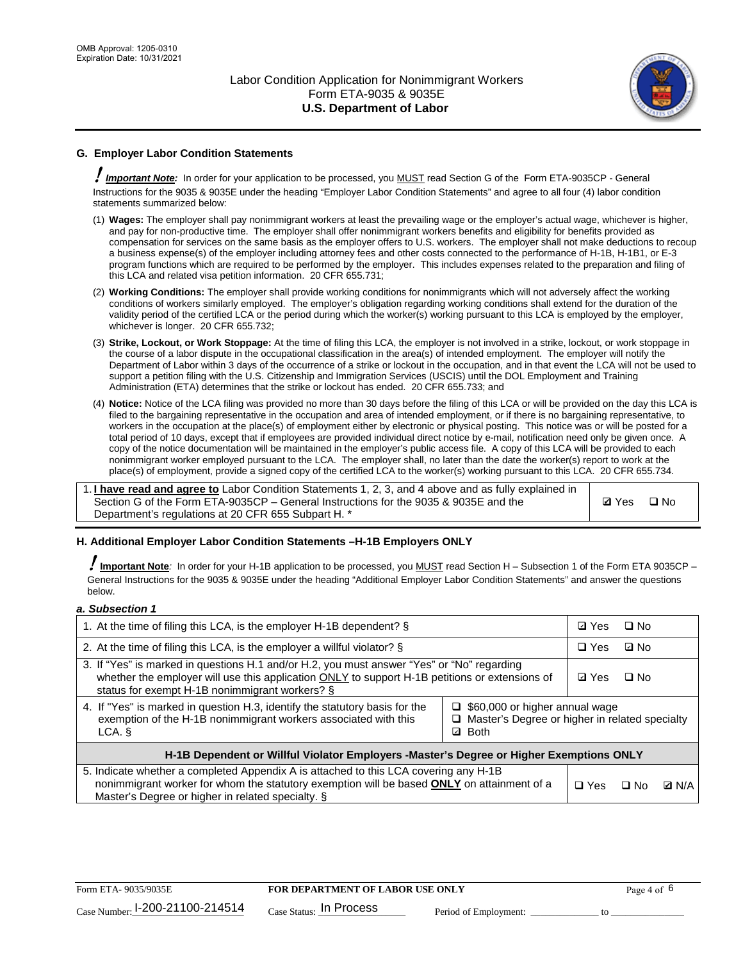

## **G. Employer Labor Condition Statements**

! *Important Note:* In order for your application to be processed, you MUST read Section G of the Form ETA-9035CP - General Instructions for the 9035 & 9035E under the heading "Employer Labor Condition Statements" and agree to all four (4) labor condition statements summarized below:

- (1) **Wages:** The employer shall pay nonimmigrant workers at least the prevailing wage or the employer's actual wage, whichever is higher, and pay for non-productive time. The employer shall offer nonimmigrant workers benefits and eligibility for benefits provided as compensation for services on the same basis as the employer offers to U.S. workers. The employer shall not make deductions to recoup a business expense(s) of the employer including attorney fees and other costs connected to the performance of H-1B, H-1B1, or E-3 program functions which are required to be performed by the employer. This includes expenses related to the preparation and filing of this LCA and related visa petition information. 20 CFR 655.731;
- (2) **Working Conditions:** The employer shall provide working conditions for nonimmigrants which will not adversely affect the working conditions of workers similarly employed. The employer's obligation regarding working conditions shall extend for the duration of the validity period of the certified LCA or the period during which the worker(s) working pursuant to this LCA is employed by the employer, whichever is longer. 20 CFR 655.732;
- (3) **Strike, Lockout, or Work Stoppage:** At the time of filing this LCA, the employer is not involved in a strike, lockout, or work stoppage in the course of a labor dispute in the occupational classification in the area(s) of intended employment. The employer will notify the Department of Labor within 3 days of the occurrence of a strike or lockout in the occupation, and in that event the LCA will not be used to support a petition filing with the U.S. Citizenship and Immigration Services (USCIS) until the DOL Employment and Training Administration (ETA) determines that the strike or lockout has ended. 20 CFR 655.733; and
- (4) **Notice:** Notice of the LCA filing was provided no more than 30 days before the filing of this LCA or will be provided on the day this LCA is filed to the bargaining representative in the occupation and area of intended employment, or if there is no bargaining representative, to workers in the occupation at the place(s) of employment either by electronic or physical posting. This notice was or will be posted for a total period of 10 days, except that if employees are provided individual direct notice by e-mail, notification need only be given once. A copy of the notice documentation will be maintained in the employer's public access file. A copy of this LCA will be provided to each nonimmigrant worker employed pursuant to the LCA. The employer shall, no later than the date the worker(s) report to work at the place(s) of employment, provide a signed copy of the certified LCA to the worker(s) working pursuant to this LCA. 20 CFR 655.734.

1. **I have read and agree to** Labor Condition Statements 1, 2, 3, and 4 above and as fully explained in Section G of the Form ETA-9035CP – General Instructions for the 9035 & 9035E and the Department's regulations at 20 CFR 655 Subpart H. \*

**Ø**Yes ロNo

### **H. Additional Employer Labor Condition Statements –H-1B Employers ONLY**

!**Important Note***:* In order for your H-1B application to be processed, you MUST read Section H – Subsection 1 of the Form ETA 9035CP – General Instructions for the 9035 & 9035E under the heading "Additional Employer Labor Condition Statements" and answer the questions below.

#### *a. Subsection 1*

| 1. At the time of filing this LCA, is the employer H-1B dependent? §                                                                                                                                                                           | ⊡ Yes                                                                                     | $\square$ No |              |  |
|------------------------------------------------------------------------------------------------------------------------------------------------------------------------------------------------------------------------------------------------|-------------------------------------------------------------------------------------------|--------------|--------------|--|
| 2. At the time of filing this LCA, is the employer a willful violator? $\S$                                                                                                                                                                    | $\Box$ Yes                                                                                | ⊡ No         |              |  |
| 3. If "Yes" is marked in questions H.1 and/or H.2, you must answer "Yes" or "No" regarding<br>whether the employer will use this application ONLY to support H-1B petitions or extensions of<br>status for exempt H-1B nonimmigrant workers? § | <b>☑</b> Yes                                                                              | $\Box$ No    |              |  |
| 4. If "Yes" is marked in question H.3, identify the statutory basis for the<br>exemption of the H-1B nonimmigrant workers associated with this<br>LCA. §                                                                                       | $\Box$ \$60,000 or higher annual wage<br>□ Master's Degree or higher in related specialty |              |              |  |
| H-1B Dependent or Willful Violator Employers -Master's Degree or Higher Exemptions ONLY                                                                                                                                                        |                                                                                           |              |              |  |
| 5. Indicate whether a completed Appendix A is attached to this LCA covering any H-1B<br>nonimmigrant worker for whom the statutory exemption will be based <b>ONLY</b> on attainment of a<br>Master's Degree or higher in related specialty. § | $\Box$ Yes                                                                                | ⊟ No         | <b>Q</b> N/A |  |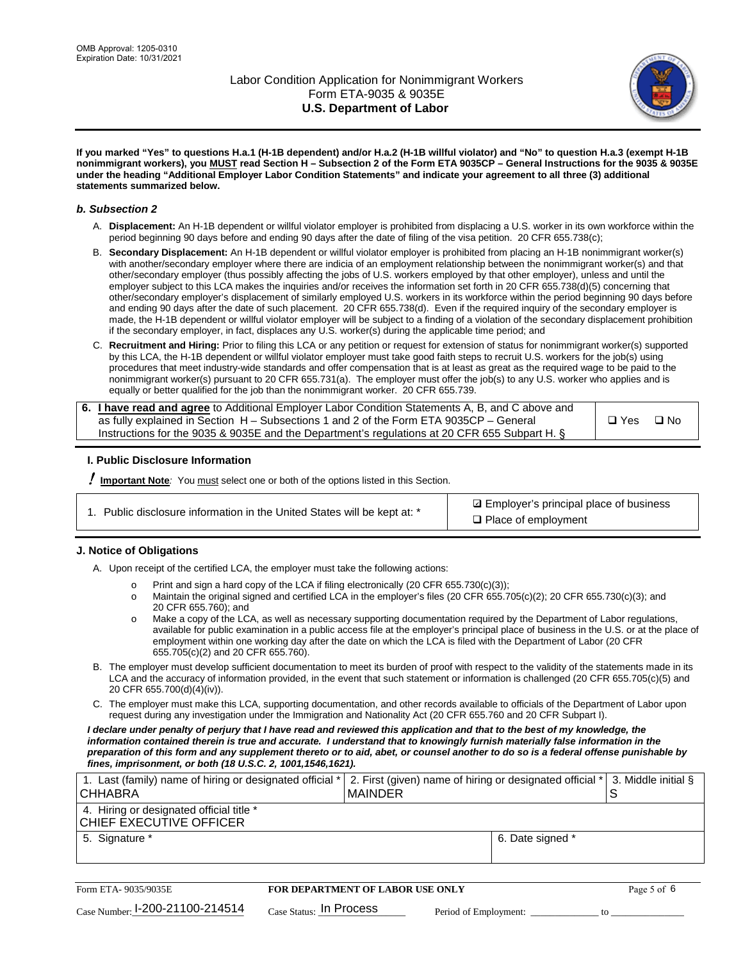

**If you marked "Yes" to questions H.a.1 (H-1B dependent) and/or H.a.2 (H-1B willful violator) and "No" to question H.a.3 (exempt H-1B nonimmigrant workers), you MUST read Section H – Subsection 2 of the Form ETA 9035CP – General Instructions for the 9035 & 9035E under the heading "Additional Employer Labor Condition Statements" and indicate your agreement to all three (3) additional statements summarized below.**

#### *b. Subsection 2*

- A. **Displacement:** An H-1B dependent or willful violator employer is prohibited from displacing a U.S. worker in its own workforce within the period beginning 90 days before and ending 90 days after the date of filing of the visa petition. 20 CFR 655.738(c);
- B. **Secondary Displacement:** An H-1B dependent or willful violator employer is prohibited from placing an H-1B nonimmigrant worker(s) with another/secondary employer where there are indicia of an employment relationship between the nonimmigrant worker(s) and that other/secondary employer (thus possibly affecting the jobs of U.S. workers employed by that other employer), unless and until the employer subject to this LCA makes the inquiries and/or receives the information set forth in 20 CFR 655.738(d)(5) concerning that other/secondary employer's displacement of similarly employed U.S. workers in its workforce within the period beginning 90 days before and ending 90 days after the date of such placement. 20 CFR 655.738(d). Even if the required inquiry of the secondary employer is made, the H-1B dependent or willful violator employer will be subject to a finding of a violation of the secondary displacement prohibition if the secondary employer, in fact, displaces any U.S. worker(s) during the applicable time period; and
- C. **Recruitment and Hiring:** Prior to filing this LCA or any petition or request for extension of status for nonimmigrant worker(s) supported by this LCA, the H-1B dependent or willful violator employer must take good faith steps to recruit U.S. workers for the job(s) using procedures that meet industry-wide standards and offer compensation that is at least as great as the required wage to be paid to the nonimmigrant worker(s) pursuant to 20 CFR 655.731(a). The employer must offer the job(s) to any U.S. worker who applies and is equally or better qualified for the job than the nonimmigrant worker. 20 CFR 655.739.

| 6. I have read and agree to Additional Employer Labor Condition Statements A, B, and C above and |       |           |
|--------------------------------------------------------------------------------------------------|-------|-----------|
| as fully explained in Section H – Subsections 1 and 2 of the Form ETA 9035CP – General           | □ Yes | $\Box$ No |
| Instructions for the 9035 & 9035E and the Department's regulations at 20 CFR 655 Subpart H. §    |       |           |

### **I. Public Disclosure Information**

! **Important Note***:* You must select one or both of the options listed in this Section.

| 1. Public disclosure information in the United States will be kept at: * |  |  |  |  |  |  |  |  |  |
|--------------------------------------------------------------------------|--|--|--|--|--|--|--|--|--|
|--------------------------------------------------------------------------|--|--|--|--|--|--|--|--|--|

**sqrt** Employer's principal place of business □ Place of employment

### **J. Notice of Obligations**

A. Upon receipt of the certified LCA, the employer must take the following actions:

- o Print and sign a hard copy of the LCA if filing electronically (20 CFR 655.730(c)(3));<br>
Maintain the original signed and certified LCA in the employer's files (20 CFR 655.7
- Maintain the original signed and certified LCA in the employer's files (20 CFR 655.705(c)(2); 20 CFR 655.730(c)(3); and 20 CFR 655.760); and
- o Make a copy of the LCA, as well as necessary supporting documentation required by the Department of Labor regulations, available for public examination in a public access file at the employer's principal place of business in the U.S. or at the place of employment within one working day after the date on which the LCA is filed with the Department of Labor (20 CFR 655.705(c)(2) and 20 CFR 655.760).
- B. The employer must develop sufficient documentation to meet its burden of proof with respect to the validity of the statements made in its LCA and the accuracy of information provided, in the event that such statement or information is challenged (20 CFR 655.705(c)(5) and 20 CFR 655.700(d)(4)(iv)).
- C. The employer must make this LCA, supporting documentation, and other records available to officials of the Department of Labor upon request during any investigation under the Immigration and Nationality Act (20 CFR 655.760 and 20 CFR Subpart I).

*I declare under penalty of perjury that I have read and reviewed this application and that to the best of my knowledge, the*  information contained therein is true and accurate. I understand that to knowingly furnish materially false information in the *preparation of this form and any supplement thereto or to aid, abet, or counsel another to do so is a federal offense punishable by fines, imprisonment, or both (18 U.S.C. 2, 1001,1546,1621).*

| 1. Last (family) name of hiring or designated official *<br><b>CHHABRA</b> |                         | MAINDER                                 | 2. First (given) name of hiring or designated official * |                  | 3. Middle initial § |  |
|----------------------------------------------------------------------------|-------------------------|-----------------------------------------|----------------------------------------------------------|------------------|---------------------|--|
| 4. Hiring or designated official title *<br>CHIEF EXECUTIVE OFFICER        |                         |                                         |                                                          |                  |                     |  |
| 5. Signature *                                                             |                         |                                         |                                                          | 6. Date signed * |                     |  |
|                                                                            |                         |                                         |                                                          |                  |                     |  |
| Form ETA-9035/9035E                                                        |                         | <b>FOR DEPARTMENT OF LABOR USE ONLY</b> |                                                          |                  | Page 5 of 6         |  |
| $_{\text{Case Number:}}$ 1-200-21100-214514                                | Case Status: In Process |                                         | Period of Employment:                                    |                  | tΩ                  |  |